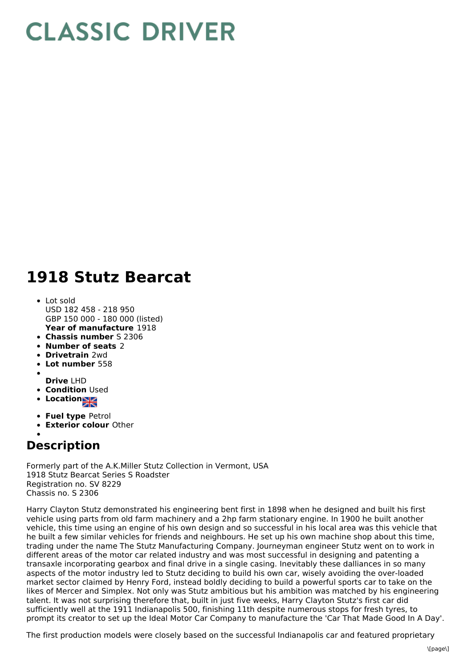## **CLASSIC DRIVER**

## **1918 Stutz Bearcat**

- **Year of manufacture** 1918 Lot sold USD 182 458 - 218 950 GBP 150 000 - 180 000 (listed)
- **Chassis number** S 2306
- **Number of seats** 2
- **Drivetrain** 2wd
- **Lot number** 558
- **Drive** LHD
- **Condition** Used
- Location<sub>al</sub>
- 
- **Fuel type** Petrol **Exterior colour** Other
- 

## **Description**

Formerly part of the A.K.Miller Stutz Collection in Vermont, USA 1918 Stutz Bearcat Series S Roadster Registration no. SV 8229 Chassis no. S 2306

Harry Clayton Stutz demonstrated his engineering bent first in 1898 when he designed and built his first vehicle using parts from old farm machinery and a 2hp farm stationary engine. In 1900 he built another vehicle, this time using an engine of his own design and so successful in his local area was this vehicle that he built a few similar vehicles for friends and neighbours. He set up his own machine shop about this time, trading under the name The Stutz Manufacturing Company. Journeyman engineer Stutz went on to work in different areas of the motor car related industry and was most successful in designing and patenting a transaxle incorporating gearbox and final drive in a single casing. Inevitably these dalliances in so many aspects of the motor industry led to Stutz deciding to build his own car, wisely avoiding the over-loaded market sector claimed by Henry Ford, instead boldly deciding to build a powerful sports car to take on the likes of Mercer and Simplex. Not only was Stutz ambitious but his ambition was matched by his engineering talent. It was not surprising therefore that, built in just five weeks, Harry Clayton Stutz's first car did sufficiently well at the 1911 Indianapolis 500, finishing 11th despite numerous stops for fresh tyres, to prompt its creator to set up the Ideal Motor Car Company to manufacture the 'Car That Made Good In A Day'.

The first production models were closely based on the successful Indianapolis car and featured proprietary